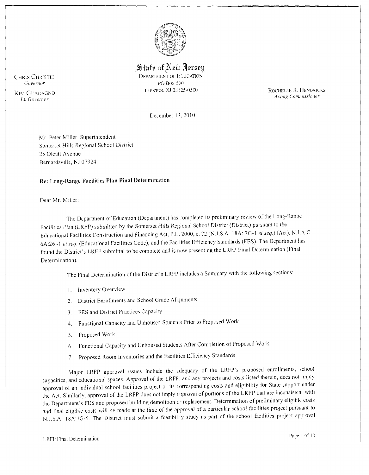

State of New Jersey

**DEPARTMENT OF EDUCATION** PO Box 500 TRENTON, NJ 08525-0500

ROCHELLE R. HENDRICKS **Acting Commissioner** 

December 17, 2010

Mr Peter Miller, Superintendent Somerset Hills Regional School District 25 Olcutt Avenue Bernardsville, NJ 07924

### Re: Long-Range Facilities Plan Final Determination

Dear Mr. Miller:

The Department of Education (Department) has completed its preliminary review of the Long-Range Facilities Plan (LRFP) submitted by the Somerset Hills Regional School District (District) pursuant to the Educational Facilities Construction and Financing Act, P.L. 2000, c. 72 (N.J.S.A. 18A: 7G-1 et seq.) (Act), N.J.A.C. 6A:26 -1 et seq. (Educational Facilities Code), and the Fac lities Efficiency Standards (FES). The Department has found the District's LRFP submittal to be complete and is now presenting the LRFP Final Determination (Final Determination).

The Final Determination of the District's LRFP includes a Summary with the following sections:

- 1. Inventory Overview
- 2. District Enrollments and School Grade Alignments
- 3. FES and District Practices Capacity
- 4. Functional Capacity and Unhoused Students Prior to Proposed Work
- Proposed Work  $5.$
- 6. Functional Capacity and Unhoused Students After Completion of Proposed Work
- 7. Proposed Room Inventories and the Facilities Efficiency Standards

Major LRFP approval issues include the adequacy of the LRFP's proposed enrollments, school capacities, and educational spaces. Approval of the LRFF, and any projects and costs listed therein, does not imply approval of an individual school facilities project or its corresponding costs and eligibility for State support under the Act. Similarly, approval of the LRFP does not imply approval of portions of the LRFP that are inconsistent with the Department's FES and proposed building demolition or replacement. Determination of preliminary eligible costs and final eligible costs will be made at the time of the approval of a particular school facilities project pursuant to N.J.S.A. 18A:7G-5. The District must submit a feasibility study as part of the school facilities project approval

**CHRIS CHRISTIE** Governor

**KIM GUADAGNO** Lt. Governor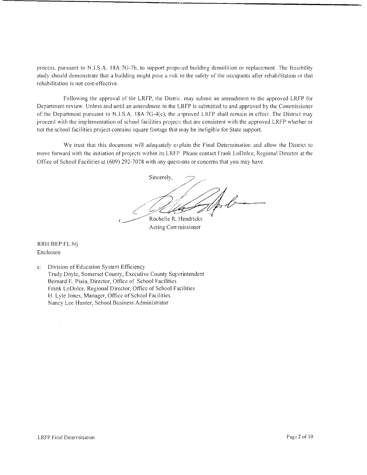process, pursuant to N.J.S.A. 18A:7G-7b, to support proposed building demolition or replacement. The feasibility study should demonstrate that a building might pose a risk to the safety of the occupants after rehabilitation or that rehabilitation is not cost-effective.

Following the approval of the LRFP, the Distric. may submit an amendment to the approved LRFP for Department review. Unless and until an amendment to the LRFP is submitted to and approved by the Commissioner of the Department pursuant to N.J.S.A. 18A:7G-4(c), the approved LRFP shall remain in effect. The District may proceed with the implementation of school facilities projects that are consistent with the approved LRFP whether or not the school facilities project contains square footage that may be ineligible for State support.

We trust that this document will adequately e>plain the Final Determination and allow the District to move forward with the initiation of projects within its LRFP Please contact Frank LoDolce, Regional Director at the Office of School Facilities at (609) 292-7078 with any questions or concerns that you may have.

Sincerely, / Wind of pole Rochelle R. Hendricks

Acting Commissioner

RRH:BEP:FLhlj Enclosure

 $\overline{\phantom{a}}$ 

c: Division of Education System Efficiency Trudy Doyle, Somerset County, Executive County Superintendent Bernard E. Piaia, Director, Office of School Facilities Frank LoDolce, Regional Director, Office of School Facilities H. Lyle Jones, Manager, Office of School Facilities Nancy Lee Hunter, School Business Administrator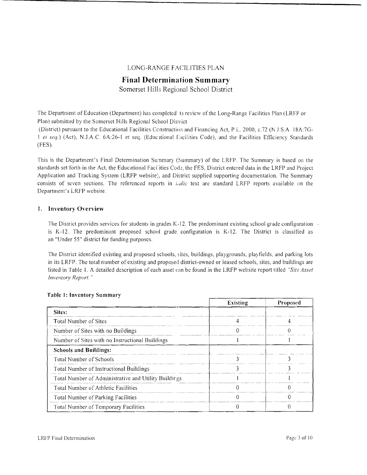## LONG-RANGE FACILITIES PLAN

# **Final Determination Summary**

Somerset Hills Regional School District

The Department of Education (Department) has completed ts review of the Long-Range Facilities Plan (LRFP or Plan) submitted by the Somerset Hills Regional School District

(District) pursuant to the Educational Facilities Construction and Financing Act, P.L. 2000, c.72 (NJ.S.A. 18A:7G-1 et seq.) (Act), N.J.A.C. 6A:26-1 et seq. (Educational Facilities Code), and the Facilities Efficiency Standards (FES).

This is the Department's Final Determination Summary (Summary) of the LRFP. The Summary is based on the standards set forth in the Act, the Educational Facilities Code, the FES, District entered data in the LRFP and Project Application and Tracking System (LRFP website), and District supplied supporting documentation. The Summary consists of seven sections, The referenced reports in *i,a!ic* text are standard LRFP reports available on the Department's LRFP website.

### 1. Inventory Overview

The District provides services for students in grades K-12. The predominant existing school grade configuration is K-12. The predominant proposed school grade configuration is K-12. The District is classified as an "Under 55" district for funding purposes.

The District identified existing and proposed schools, sites, buildings, playgrounds, playfields, and parking lots in its LRFP. The total number of existing and proposed district-owned or leased schools, sites, and buildings are listed in Table 1. A detailed description of each asset can be found in the LRFP website report titled *"Site Asset Inventory Report. "* 

|                                                       | Existing | Proposed |  |
|-------------------------------------------------------|----------|----------|--|
| Sites:                                                |          |          |  |
| <b>Total Number of Sites</b>                          |          |          |  |
| Number of Sites with no Buildings                     |          |          |  |
| Number of Sites with no Instructional Buildings       |          |          |  |
| <b>Schools and Buildings:</b>                         |          |          |  |
| Total Number of Schools                               |          |          |  |
| Total Number of Instructional Buildings               |          |          |  |
| Total Number of Administrative and Utility Buildir gs |          |          |  |
| Total Number of Athletic Facilities                   |          |          |  |
| Total Number of Parking Facilities                    |          |          |  |
| Total Number of Temporary Facilities                  |          |          |  |

#### Table I: Inventory Summary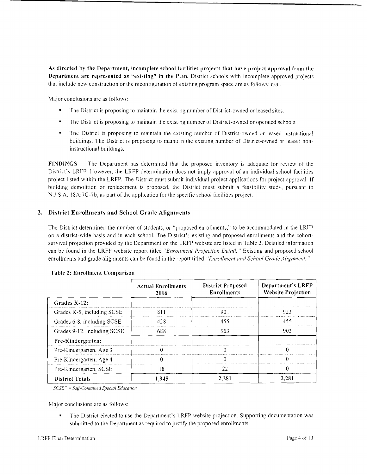As directed by the Department, incomplete school Incilities projects that have project approval from the Department are represented as "existing" in the Plan. District schools with incomplete approved projects that include new construction or the reconfiguration of existing program space are as follows:  $n/a$ .

**---------------------------------------**

Major conclusions are as follows:

- The District is proposing to maintain the exist ng number of District-owned or leased sites.
- The District is proposing to maintain the existng number of District-owned or operated schools.
- The District is proposing to maintain the existing number of District-owned or leased instructional buildings. The District is proposing to maintain the existing number of District-owned or leased noninstructional buildings.

FINDINGS The Department has determined thai the proposed inventory is adequate for review of the District's LRFP. However, the LRFP determination does not imply approval of an individual school facilities project listed within the LRFP. The District must submit individual project applications for project approval. If building demolition or replacement is proposed, the District must submit a feasibility study, pursuant to N.J.S.A. 18A:7G-7b, as part of the application for the specific school facilities project.

## 2. District Enrollments and School Grade Alignments

The District determined the number of students, or "proposed enrollments," to be accommodated in the LRFP on a district-wide basis and in each school. The District's existing and proposed enrollments and the cohortsurvival projection provided by the Department on the LRFP website are listed in Table 2. Detailed information can be found in the LRFP website report titled "Enrolment Projection Detail." Existing and proposed school enrollments and grade alignments can be found in the seport titled "Enrollment and School Grade Alignment."

|                             | <b>Actual Enrollments</b><br>2006 | <b>District Proposed</b><br><b>Enrollments</b> | <b>Department's LRFP</b><br><b>Website Projection</b> |
|-----------------------------|-----------------------------------|------------------------------------------------|-------------------------------------------------------|
| Grades K-12:                |                                   |                                                |                                                       |
| Grades K-5, including SCSE  | 811                               | 901                                            | 923                                                   |
| Grades 6-8, including SCSE  | 428                               | 455                                            | 455                                                   |
| Grades 9-12, including SCSE | 688                               | 903                                            | 903                                                   |
| Pre-Kindergarten:           |                                   |                                                |                                                       |
| Pre-Kindergarten, Age 3     | Ω                                 |                                                |                                                       |
| Pre-Kindergarten, Age 4     |                                   |                                                |                                                       |
| Pre-Kindergarten, SCSE      | 18                                | 22                                             |                                                       |
| <b>District Totals</b>      | 1,945                             | 2,281                                          | 2,281                                                 |

### Table 2: Enrollment Comparison

*"'seSE"' .)elf-Contained Special Education* 

Major conclusions are as follows:

The District elected to use the Department's LRFP website projection. Supporting documentation was submitted to the Department as required to justify the proposed enrollments.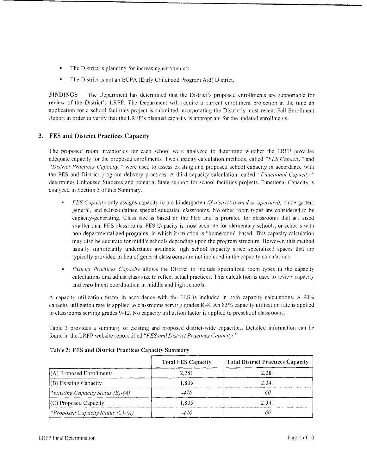- The District is planning for increasing enrollments.
- The District is not an ECPA (Early Childhood Program Aid) District.

**FINDINGS** The Department has determined that the District's proposed enrollments are supportable for review of the District's LRFP. The Department will require a current enrollment projection at the time an application for a school facilities project is submitted incorporating the District's most recent Fall Enrc Ilment Report in order to verify that the LRFP's planned capacity is appropriate for the updated enrollments.

**---------------,--------------\_.\_----,** 

## **3. FES and District Practices Capacity**

The proposed room inventories for each school were analyzed to determine whether the LRFP provides adequate capacity for the proposed enrollments. Two capacity calculation methods, called *"FES Capacity"* and *"District Practices Capacity,* " were used to assess c\isting and proposed school capacity in accordance with the FES and District program delivery practices. A third capacity calculation, called *"Functional Capacity,"* determines Unhoused Students and potential State support for school facilities projects. Functional Capacity is analyzed in Section 5 of this Summary.

- *FES Capacity* only assigns capacity to pre-kindergarten *(if district-owned or operated),* kindergarten, general, and self-contained special education classrooms. No other room types are considered to be capacity-generating. Class size is based or the FES and is prorated for classrooms that are sized smaller than FES classrooms. FES Capacity is most accurate for elementary schools, or schools with non-departmentalized programs, in which ir truction is "homeroom" based. This capacity calc ulation may also be accurate for middle schools depending upon the program structure. However, this method usually significantly understates available ligh school capacity since specialized spaces that are typically provided in lieu of general classrocons are not included in the capacity calculations.
- *District Practices Capacity* allows the District to include specialized room types in the capacity calculations and adjust class size to reflect actual practices. This calculation is used to review capacity and enrollment coordination in middle and high schools.

A capacity utilization factor in accordance with the FES is included in both capacity calculations. A 90%, capacity utilization rate is applied to classrooms servir g grades K-8. An 85% capacity utilization rate is applied to classrooms serving grades 9-12. No capacity utilization factor is applied to preschool classrooms.

Table 3 provides a summary of existing arid proposed district-wide capacities. Detailed information can be found in the LRFP website report titled *"FES and Dist"ict Practices Capacity. "* 

|                                          | Total FES Capacity | <b>Total District Practices Capacity</b> |  |
|------------------------------------------|--------------------|------------------------------------------|--|
| (A) Proposed Enrollments                 | 2.281              | 2.281                                    |  |
| (B) Existing Capacity                    | 1.805              | 2.341                                    |  |
| <i>*Existing Capacity Status (B)-(A)</i> | $-476$             |                                          |  |
| $(C)$ Proposed Capacity                  | 1.805              | 2.341                                    |  |
| <i>*Proposed Capacity Status (C)-(A)</i> | -476               |                                          |  |

## Table 3: FES and District Practices Capacity Summary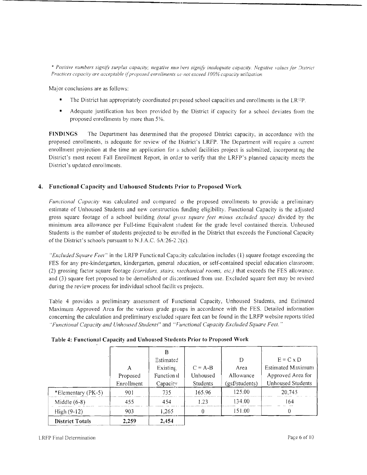\* Positive numbers signify surplus capacity; negative nun bers signify inadequate capacity. Negative values for District Practices capacity are acceptable if proposed enrollments ac not exceed 100% capacity utilization.

Major conclusions are as follows:

- The District has appropriately coordinated proposed school capacities and enrollments in the LRFP.
- Adequate justification has been provided by the District if capacity for a school deviates from the proposed enrollments by more than 5%.

**FINDINGS** The Department has determined that the proposed District capacity, in accordance with the proposed enrollments, is adequate for review of the District's LRFP. The Department will require a current enrollment projection at the time an application for a school facilities project is submitted, incorporating the District's most recent Fall Enrollment Report, in order to verify that the LRFP's planned capacity meets the District's updated enrollments.

## 4. Functional Capacity and Unhoused Students Prior to Proposed Work

Functional Capacity was calculated and compared to the proposed enrollments to provide a preliminary estimate of Unhoused Students and new construction funding eligibility. Functional Capacity is the adjusted gross square footage of a school building *(total gross square feet minus excluded space)* divided by the minimum area allowance per Full-time Equivalent student for the grade level contained therein. Unhoused Students is the number of students projected to be enrolled in the District that exceeds the Functional Capacity of the District's schools pursuant to N.J.A.C.  $6A:26-2.2(c)$ .

"Excluded Square Feet" in the LRFP Functional Capacity calculation includes (1) square footage exceeding the FES for any pre-kindergarten, kindergarten, general education, or self-contained special education classroom; (2) grossing factor square footage (corridors, stairs, mechanical rooms, etc.) that exceeds the FES allowance. and (3) square feet proposed to be demolished or discontinued from use. Excluded square feet may be revised during the review process for individual school facilities projects.

Table 4 provides a preliminary assessment of Functional Capacity, Unhoused Students, and Estimated Maximum Approved Area for the various grade groups in accordance with the FES. Detailed information concerning the calculation and preliminary excluded square feet can be found in the LRFP website reports titled "Functional Capacity and Unhoused Students" and "Functional Capacity Excluded Square Feet."

|                        |            | Estimated   |           | D              | $E = C \times D$         |
|------------------------|------------|-------------|-----------|----------------|--------------------------|
|                        | Α          | Existing,   | $C = A-B$ | Area           | Estimated Maximum        |
|                        | Proposed   | Function al | Unhoused  | Allowance      | Approved Area for        |
|                        | Enrollment | Capacity    | Students  | (gsf/students) | <b>Unhoused Students</b> |
| *Elementary (PK-5)     | 901        | 735         | 165.96    | 125.00         | 20,745                   |
| Middle $(6-8)$         | 455        | 454         | 1.23      | 134.00         | 164                      |
| $High (9-12)$          | 903        | 1,265       |           | 151.00         |                          |
| <b>District Totals</b> | 2.259      | 2.454       |           |                |                          |

Table 4: Functional Capacity and Unhoused Students Prior to Proposed Work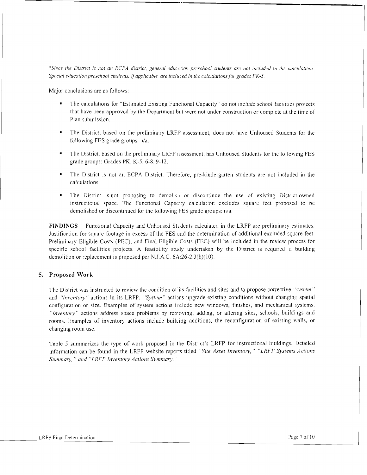\*Since the District is not an ECPA district, general educction preschool students are not included in the calculations. *Special education preschool students, if applicable, are included in the calculations for grades PK-5.* 

**----------------'----------------------**

Major conclusions are as follows:

- The calculations for "Estimated Existing Functional Capacity" do not include school facilities projects that have been approved by the Department bet were not under construction or complete at the time of Plan submission.
- The District, based on the preliminary LRFP assessment, does not have Unhoused Students for the following FES grade groups: n/a.
- The District, based on the preliminary LRFP assessment, has Unhoused Students for the following FES grade groups: Grades PK, K-5, 6-8, 9-12.
- The District is not an ECPA District. Therefore, pre-kindergarten students are not included in the calculations.
- The District is not proposing to demolish or discontinue the use of existing District-owned instructional space. The Functional Capacty calculation excludes square feet proposed to be demolished or discontinued for the following FES grade groups: n/a.

**FINDINGS** Functional Capacity and Unhoused Students calculated in the LRFP are preliminary estimates. Justification for square footage in excess of the FES and the determination of additional excluded square feel, Preliminary Eligible Costs (PEC), and Final Eligible Costs (FEC) will be included in the review process for specific school facilities projects. A feasibility study undertaken by the District is required if building demolition or replacement is proposed per N.J.A.C.  $6A$ :26-2.3(b)(10).

## **5. Proposed Work**

The District was instructed to review the condition of its facilities and sites and to propose corrective "*system*" and *"inventory"* actions in its LRFP. "System" actions upgrade existing conditions without changing spatial configuration or size. Examples of system actions include new windows, finishes, and mechanical systems. "Inventory" actions address space problems by removing, adding, or altering sites, schools, buildings and rooms. Examples of inventory actions include builcing additions, the reconfiguration of existing walls, or changing room use.

Table 5 summarizes the type of work proposed in the District's LRFP for instructional buildings. Detailed information can be found in the LRFP website repcrts titled *"Site Asset Inventory,"* "LRFP *Systems Actions Summary,* " *and* "LRFP *Inventory Actions Sl'mmary. '*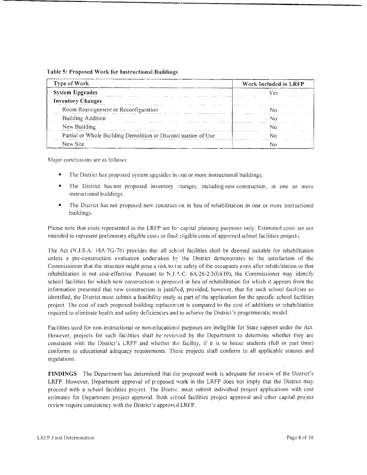| <b>Type of Work</b>                                            | Work Included in LRFP |  |
|----------------------------------------------------------------|-----------------------|--|
| <b>System Upgrades</b>                                         | Yes                   |  |
| <b>Inventory Changes</b>                                       |                       |  |
| Room Reassignment or Reconfiguration                           |                       |  |
| Building Addition                                              |                       |  |
| New Building                                                   |                       |  |
| Partial or Whole Building Demolition or Disconti mation of Use |                       |  |
| New Site                                                       |                       |  |

**---------------\_.\_---------------------**

Major conclusions are as follows:

- The District has proposed system upgrades in one or more instructional buildings.
- The District has not proposed inventory changes, including new construction, in one or more instructional buildings.
- The District has not proposed new construction in lieu of rehabilitation in one or more instructional buildings.

Please note that costs represented in the LRFP are fo" capital planning purposes only. Estimated costs are not intended to represent preliminary eligible costs or final  $\exists$ ligible costs of approved school facilities projects.

The Act (N.J.S.A. 18A:7G-7b) provides that all school facilities shall be deemed suitable for rehabilitation unless a pre-construction evaluation undertaken by the District demonstrates to the satisfaction of the Commissioner that the structure might pose a risk to the safety of the occupants even after rehabilitation or that rehabilitation is not cost-effective. Pursuant to N.J.  $\Delta$ , C. 6A:26-2.3(b)(10), the Commissioner may identify school facilities for which new construction is proposed in lieu of rehabilitation for which it appears from the information presented that new construction is justified, provided, however, that for such school facilities so identified, the District must submit a feasibility study as part of the application for the specific school facilities project. The cost of each proposed building replacement is compared to the cost of additions or rehabilitation required to eliminate health and safety deficiencies and to achieve the District's programmatic model.

Facilities used for non-instructional or non-educational purposes are ineligible for State support under the Act. However, projects for such facilities shall be reviewed by the Department to determine whether they are: consistent with the District's LRFP and whether the facility, if it is to house students (full or part time) conforms to educational adequacy requirements. These projects shall conform to all applicable statutes and regulations.

**FINDINGS** The Department has determined that the proposed work is adequate for review of the District's LRFP. However, Department approval of proposed work in the LRFP does not imply that the District may proceed with a school facilities project. The Distric: must submit individual project applications with cost estimates for Department project approval. Both school facilities project approval and other capital project review require consistency with the District's approved LRFP.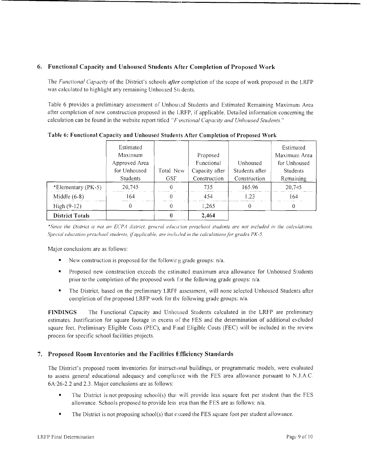## 6. Functional Capacity and Unhoused Students After Completion of Proposed Work

The *Functional Capacity* of the District's schools *after* completion of the scope of work proposed in the LRFP was calculated to highlight any remaining Unhoused Students.

--------------------------------~-----

Table 6 provides a preliminary assessment of Unhoused Students and Estimated Remaining Maximum Area after completion of new construction proposed in the LRFP, if applicable. Detailed information concerning the calculation can be found in the website report 1itled *"F'mctional Capacity and Unhoused Students."* 

|                        | Estimated       |            |                |                | Estimated    |
|------------------------|-----------------|------------|----------------|----------------|--------------|
|                        | Maximum         |            | Proposed       |                | Maximum Area |
|                        | Approved Area   |            | Functional     | Unhoused       | for Unhoused |
|                        | for Unhoused    | Total New  | Capacity after | Students after | Students     |
|                        | <b>Students</b> | <b>GSF</b> | Construction   | Construction   | Remaining    |
| *Elementary (PK-5)     | 20,745          | 0          | 735            | 165.96         | 20,745       |
| Middle $(6-8)$         | 164             | 0          | 454            | 123            | 164          |
| High (9-12)            |                 | 0          | 1.265          | 0              |              |
| <b>District Totals</b> |                 |            | 2.464          |                |              |

Table 6: Functional Capacity and Unhoused Students After Completion of Proposed Work

\*Since the District is not an ECPA district, general education preschool students are not included in the calculations. *Special education preschool students, if applicable, are inchided in the calculations for grades PK-5.* 

Major conclusions are as follows:

- New construction is proposed for the followir g grade groups:  $n/a$ .
- Proposed new construction exceeds the estimated maximum area allowance for Unhoused Students prior to the completion of the proposed work for the following grade groups:  $n/a$ .
- The District, based on the preliminary LRFF assessment, will none selected Unhoused Students after completion of the proposed LRFP work for the following grade groups: *n*/a.

FINDINGS The Functional Capacity and Unhoused Students calculated in the LRFP are preliminary estimates. Justification for square footage in excess of the FES and the determination of additional excluded square feet, Preliminary Eligible Costs (PEC), and Final Eligible Costs (FEC) will be included in the review process for specific school facilities projects.

### 7. Proposed Room Inventories and the Facilities E:fficiency Standards

The District's proposed room inventories for instructional buildings, or programmatic models, were evaluated to assess general educational adequacy and compliance with the FES area allowance pursuant to N.J.A.C. 6A:26-2.2 and 2.3. Major conclusions are as follows:

- The District is not proposing school(s) that will provide less square feet per student than the FES allowance. Schools proposed to provide less lrea than the FES are as follows: *n/a.*
- The District is not proposing school(s) that exceed the FES square foot per student allowance.